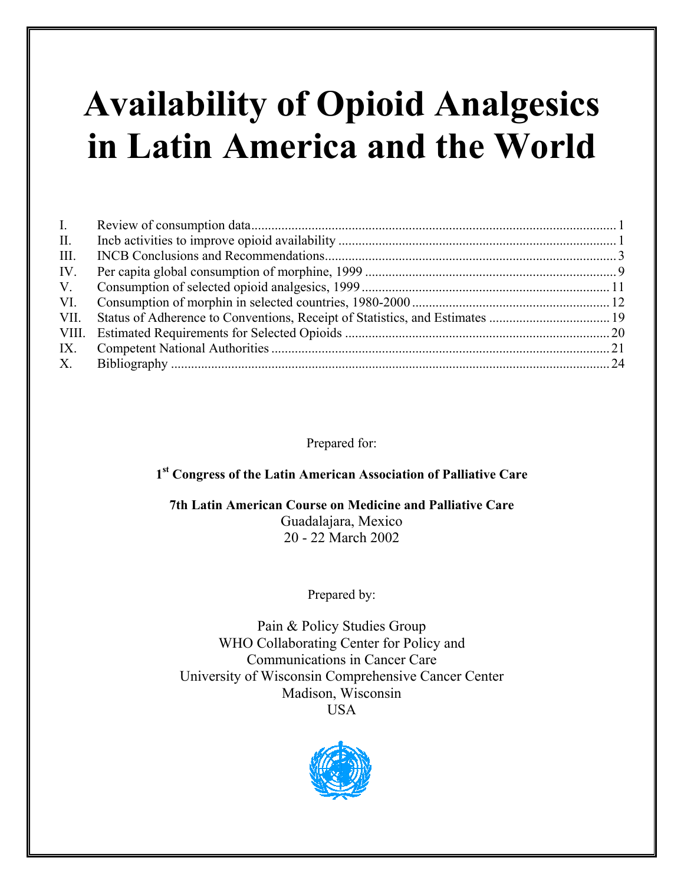# **Availability of Opioid Analgesics in Latin America and the World**

| I.          |  |
|-------------|--|
| $\rm{II}$ . |  |
| III.        |  |
| IV.         |  |
| V.          |  |
| VI.         |  |
| VII.        |  |
|             |  |
| IX.         |  |
| X.          |  |

Prepared for:

# **1st Congress of the Latin American Association of Palliative Care**

**7th Latin American Course on Medicine and Palliative Care** Guadalajara, Mexico 20 - 22 March 2002

Prepared by:

Pain & Policy Studies Group WHO Collaborating Center for Policy and Communications in Cancer Care University of Wisconsin Comprehensive Cancer Center Madison, Wisconsin USA

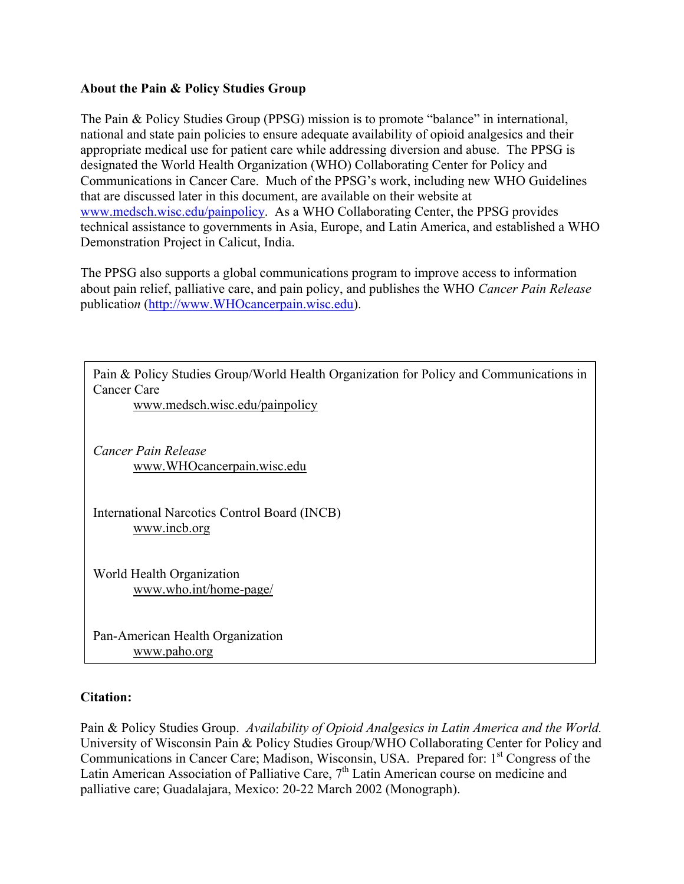### **About the Pain & Policy Studies Group**

The Pain & Policy Studies Group (PPSG) mission is to promote "balance" in international, national and state pain policies to ensure adequate availability of opioid analgesics and their appropriate medical use for patient care while addressing diversion and abuse. The PPSG is designated the World Health Organization (WHO) Collaborating Center for Policy and Communications in Cancer Care. Much of the PPSG's work, including new WHO Guidelines that are discussed later in this document, are available on their website at www.medsch.wisc.edu/painpolicy. As a WHO Collaborating Center, the PPSG provides technical assistance to governments in Asia, Europe, and Latin America, and established a WHO Demonstration Project in Calicut, India.

The PPSG also supports a global communications program to improve access to information about pain relief, palliative care, and pain policy, and publishes the WHO *Cancer Pain Release*  publicatio*n* (http://www.WHOcancerpain.wisc.edu).

Pain & Policy Studies Group/World Health Organization for Policy and Communications in Cancer Care

www.medsch.wisc.edu/painpolicy

*Cancer Pain Release*  www.WHOcancerpain.wisc.edu

International Narcotics Control Board (INCB) www.incb.org

World Health Organization www.who.int/home-page/

Pan-American Health Organization www.paho.org

# **Citation:**

Pain & Policy Studies Group. *Availability of Opioid Analgesics in Latin America and the World.*  University of Wisconsin Pain & Policy Studies Group/WHO Collaborating Center for Policy and Communications in Cancer Care; Madison, Wisconsin, USA. Prepared for: 1<sup>st</sup> Congress of the Latin American Association of Palliative Care,  $7<sup>th</sup>$  Latin American course on medicine and palliative care; Guadalajara, Mexico: 20-22 March 2002 (Monograph).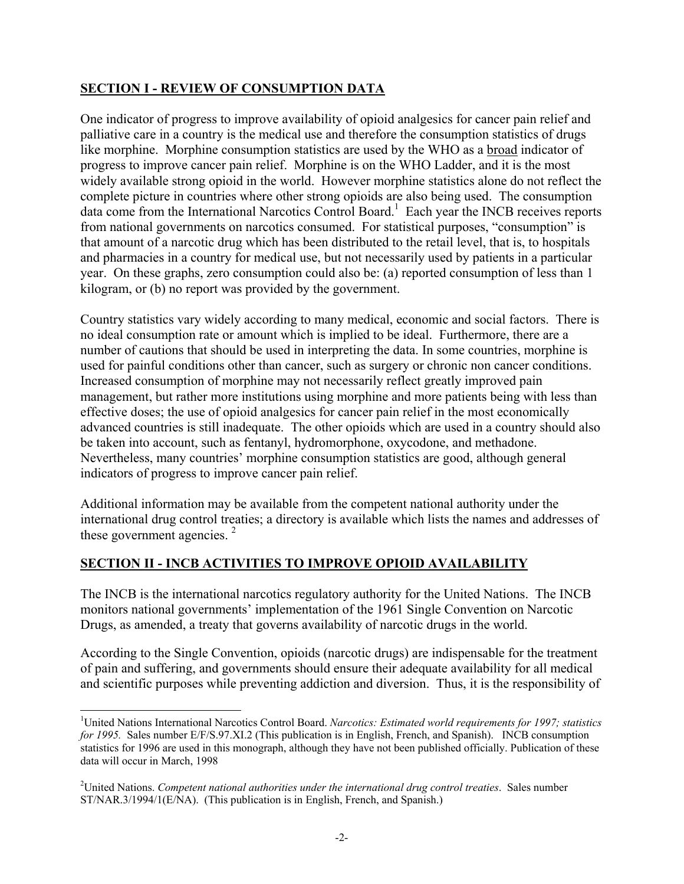# **SECTION I - REVIEW OF CONSUMPTION DATA**

One indicator of progress to improve availability of opioid analgesics for cancer pain relief and palliative care in a country is the medical use and therefore the consumption statistics of drugs like morphine. Morphine consumption statistics are used by the WHO as a broad indicator of progress to improve cancer pain relief. Morphine is on the WHO Ladder, and it is the most widely available strong opioid in the world. However morphine statistics alone do not reflect the complete picture in countries where other strong opioids are also being used. The consumption data come from the International Narcotics Control Board.<sup>1</sup> Each year the INCB receives reports from national governments on narcotics consumed. For statistical purposes, "consumption" is that amount of a narcotic drug which has been distributed to the retail level, that is, to hospitals and pharmacies in a country for medical use, but not necessarily used by patients in a particular year. On these graphs, zero consumption could also be: (a) reported consumption of less than 1 kilogram, or (b) no report was provided by the government.

Country statistics vary widely according to many medical, economic and social factors. There is no ideal consumption rate or amount which is implied to be ideal. Furthermore, there are a number of cautions that should be used in interpreting the data. In some countries, morphine is used for painful conditions other than cancer, such as surgery or chronic non cancer conditions. Increased consumption of morphine may not necessarily reflect greatly improved pain management, but rather more institutions using morphine and more patients being with less than effective doses; the use of opioid analgesics for cancer pain relief in the most economically advanced countries is still inadequate. The other opioids which are used in a country should also be taken into account, such as fentanyl, hydromorphone, oxycodone, and methadone. Nevertheless, many countries' morphine consumption statistics are good, although general indicators of progress to improve cancer pain relief.

Additional information may be available from the competent national authority under the international drug control treaties; a directory is available which lists the names and addresses of these government agencies.<sup>2</sup>

# **SECTION II - INCB ACTIVITIES TO IMPROVE OPIOID AVAILABILITY**

The INCB is the international narcotics regulatory authority for the United Nations. The INCB monitors national governments' implementation of the 1961 Single Convention on Narcotic Drugs, as amended, a treaty that governs availability of narcotic drugs in the world.

According to the Single Convention, opioids (narcotic drugs) are indispensable for the treatment of pain and suffering, and governments should ensure their adequate availability for all medical and scientific purposes while preventing addiction and diversion. Thus, it is the responsibility of

 $\overline{\phantom{a}}$ <sup>1</sup>United Nations International Narcotics Control Board. *Narcotics: Estimated world requirements for 1997; statistics for 1995.* Sales number E/F/S.97.XI.2 (This publication is in English, French, and Spanish). INCB consumption statistics for 1996 are used in this monograph, although they have not been published officially. Publication of these data will occur in March, 1998

<sup>2</sup> United Nations. *Competent national authorities under the international drug control treaties*. Sales number ST/NAR.3/1994/1(E/NA). (This publication is in English, French, and Spanish.)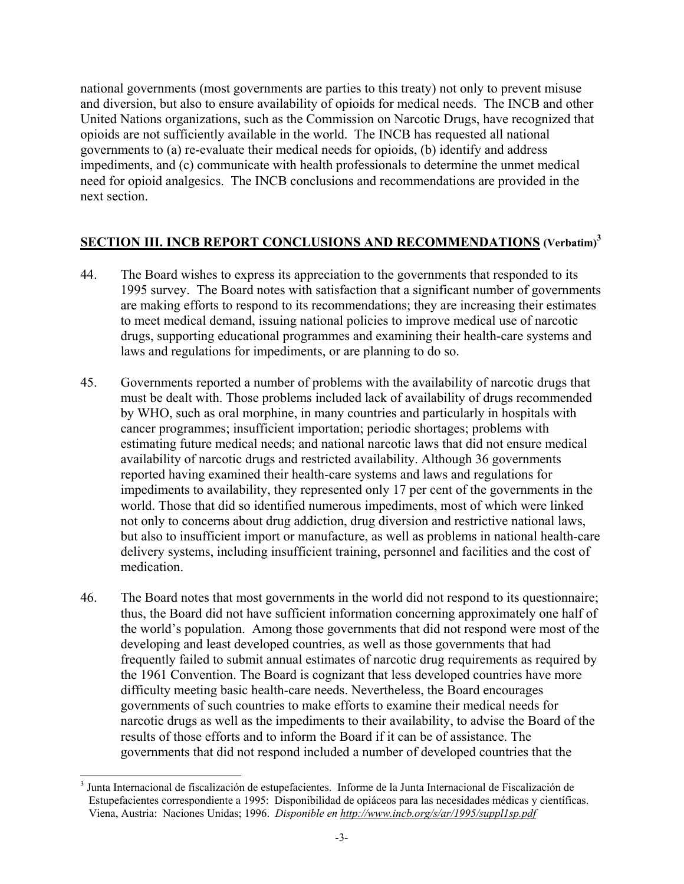national governments (most governments are parties to this treaty) not only to prevent misuse and diversion, but also to ensure availability of opioids for medical needs. The INCB and other United Nations organizations, such as the Commission on Narcotic Drugs, have recognized that opioids are not sufficiently available in the world. The INCB has requested all national governments to (a) re-evaluate their medical needs for opioids, (b) identify and address impediments, and (c) communicate with health professionals to determine the unmet medical need for opioid analgesics. The INCB conclusions and recommendations are provided in the next section.

# **SECTION III. INCB REPORT CONCLUSIONS AND RECOMMENDATIONS (Verbatim)<sup>3</sup>**

- 44. The Board wishes to express its appreciation to the governments that responded to its 1995 survey. The Board notes with satisfaction that a significant number of governments are making efforts to respond to its recommendations; they are increasing their estimates to meet medical demand, issuing national policies to improve medical use of narcotic drugs, supporting educational programmes and examining their health-care systems and laws and regulations for impediments, or are planning to do so.
- 45. Governments reported a number of problems with the availability of narcotic drugs that must be dealt with. Those problems included lack of availability of drugs recommended by WHO, such as oral morphine, in many countries and particularly in hospitals with cancer programmes; insufficient importation; periodic shortages; problems with estimating future medical needs; and national narcotic laws that did not ensure medical availability of narcotic drugs and restricted availability. Although 36 governments reported having examined their health-care systems and laws and regulations for impediments to availability, they represented only 17 per cent of the governments in the world. Those that did so identified numerous impediments, most of which were linked not only to concerns about drug addiction, drug diversion and restrictive national laws, but also to insufficient import or manufacture, as well as problems in national health-care delivery systems, including insufficient training, personnel and facilities and the cost of medication.
- 46. The Board notes that most governments in the world did not respond to its questionnaire; thus, the Board did not have sufficient information concerning approximately one half of the world's population. Among those governments that did not respond were most of the developing and least developed countries, as well as those governments that had frequently failed to submit annual estimates of narcotic drug requirements as required by the 1961 Convention. The Board is cognizant that less developed countries have more difficulty meeting basic health-care needs. Nevertheless, the Board encourages governments of such countries to make efforts to examine their medical needs for narcotic drugs as well as the impediments to their availability, to advise the Board of the results of those efforts and to inform the Board if it can be of assistance. The governments that did not respond included a number of developed countries that the

 3 Junta Internacional de fiscalización de estupefacientes. Informe de la Junta Internacional de Fiscalización de Estupefacientes correspondiente a 1995: Disponibilidad de opiáceos para las necesidades médicas y científicas. Viena, Austria: Naciones Unidas; 1996. *Disponible en http://www.incb.org/s/ar/1995/suppl1sp.pdf*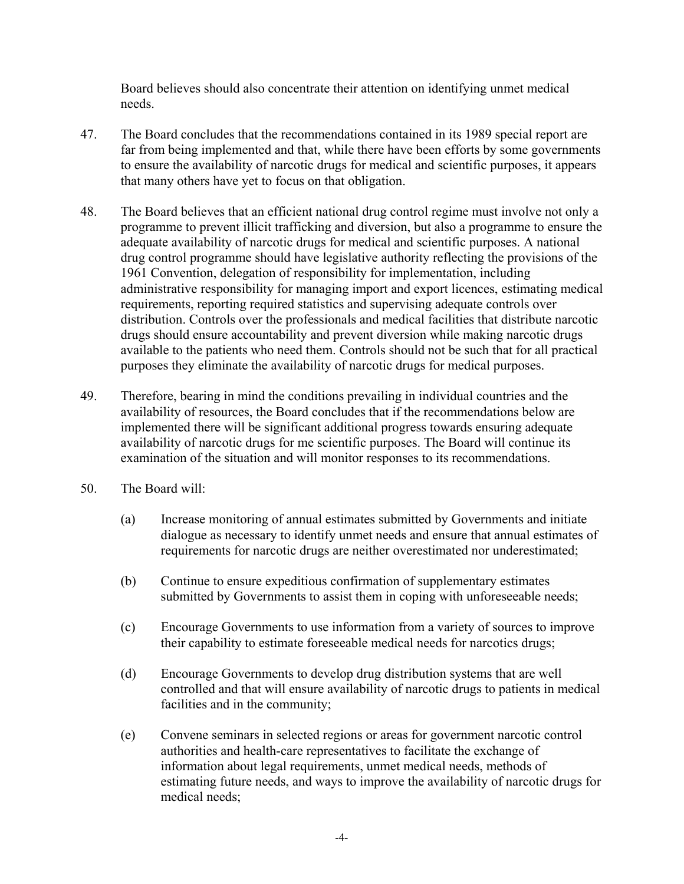Board believes should also concentrate their attention on identifying unmet medical needs.

- 47. The Board concludes that the recommendations contained in its 1989 special report are far from being implemented and that, while there have been efforts by some governments to ensure the availability of narcotic drugs for medical and scientific purposes, it appears that many others have yet to focus on that obligation.
- 48. The Board believes that an efficient national drug control regime must involve not only a programme to prevent illicit trafficking and diversion, but also a programme to ensure the adequate availability of narcotic drugs for medical and scientific purposes. A national drug control programme should have legislative authority reflecting the provisions of the 1961 Convention, delegation of responsibility for implementation, including administrative responsibility for managing import and export licences, estimating medical requirements, reporting required statistics and supervising adequate controls over distribution. Controls over the professionals and medical facilities that distribute narcotic drugs should ensure accountability and prevent diversion while making narcotic drugs available to the patients who need them. Controls should not be such that for all practical purposes they eliminate the availability of narcotic drugs for medical purposes.
- 49. Therefore, bearing in mind the conditions prevailing in individual countries and the availability of resources, the Board concludes that if the recommendations below are implemented there will be significant additional progress towards ensuring adequate availability of narcotic drugs for me scientific purposes. The Board will continue its examination of the situation and will monitor responses to its recommendations.
- 50. The Board will:
	- (a) Increase monitoring of annual estimates submitted by Governments and initiate dialogue as necessary to identify unmet needs and ensure that annual estimates of requirements for narcotic drugs are neither overestimated nor underestimated;
	- (b) Continue to ensure expeditious confirmation of supplementary estimates submitted by Governments to assist them in coping with unforeseeable needs;
	- (c) Encourage Governments to use information from a variety of sources to improve their capability to estimate foreseeable medical needs for narcotics drugs;
	- (d) Encourage Governments to develop drug distribution systems that are well controlled and that will ensure availability of narcotic drugs to patients in medical facilities and in the community;
	- (e) Convene seminars in selected regions or areas for government narcotic control authorities and health-care representatives to facilitate the exchange of information about legal requirements, unmet medical needs, methods of estimating future needs, and ways to improve the availability of narcotic drugs for medical needs;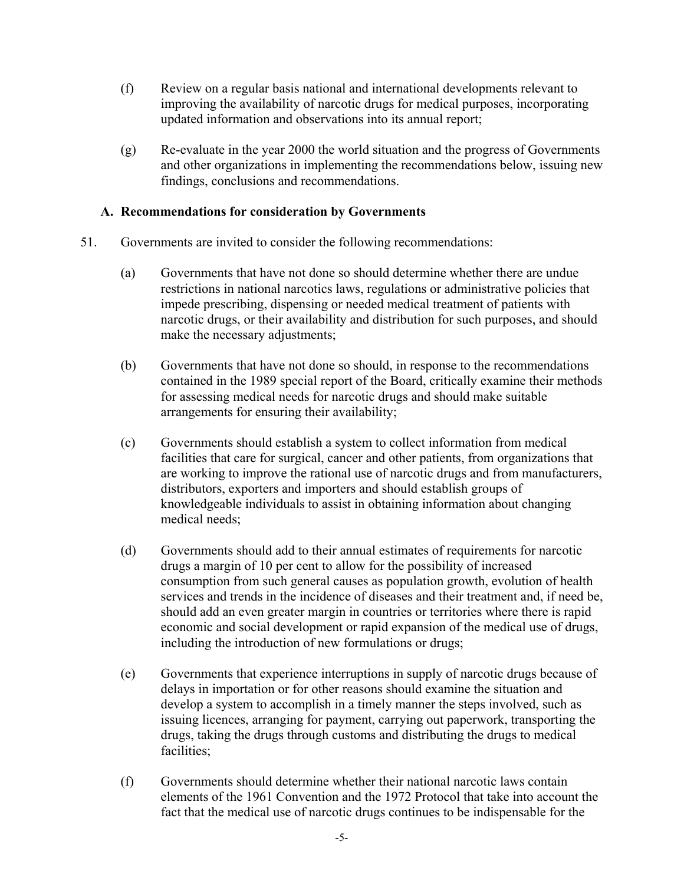- (f) Review on a regular basis national and international developments relevant to improving the availability of narcotic drugs for medical purposes, incorporating updated information and observations into its annual report;
- (g) Re-evaluate in the year 2000 the world situation and the progress of Governments and other organizations in implementing the recommendations below, issuing new findings, conclusions and recommendations.

### **A. Recommendations for consideration by Governments**

- 51. Governments are invited to consider the following recommendations:
	- (a) Governments that have not done so should determine whether there are undue restrictions in national narcotics laws, regulations or administrative policies that impede prescribing, dispensing or needed medical treatment of patients with narcotic drugs, or their availability and distribution for such purposes, and should make the necessary adjustments;
	- (b) Governments that have not done so should, in response to the recommendations contained in the 1989 special report of the Board, critically examine their methods for assessing medical needs for narcotic drugs and should make suitable arrangements for ensuring their availability;
	- (c) Governments should establish a system to collect information from medical facilities that care for surgical, cancer and other patients, from organizations that are working to improve the rational use of narcotic drugs and from manufacturers, distributors, exporters and importers and should establish groups of knowledgeable individuals to assist in obtaining information about changing medical needs;
	- (d) Governments should add to their annual estimates of requirements for narcotic drugs a margin of 10 per cent to allow for the possibility of increased consumption from such general causes as population growth, evolution of health services and trends in the incidence of diseases and their treatment and, if need be, should add an even greater margin in countries or territories where there is rapid economic and social development or rapid expansion of the medical use of drugs, including the introduction of new formulations or drugs;
	- (e) Governments that experience interruptions in supply of narcotic drugs because of delays in importation or for other reasons should examine the situation and develop a system to accomplish in a timely manner the steps involved, such as issuing licences, arranging for payment, carrying out paperwork, transporting the drugs, taking the drugs through customs and distributing the drugs to medical facilities;
	- (f) Governments should determine whether their national narcotic laws contain elements of the 1961 Convention and the 1972 Protocol that take into account the fact that the medical use of narcotic drugs continues to be indispensable for the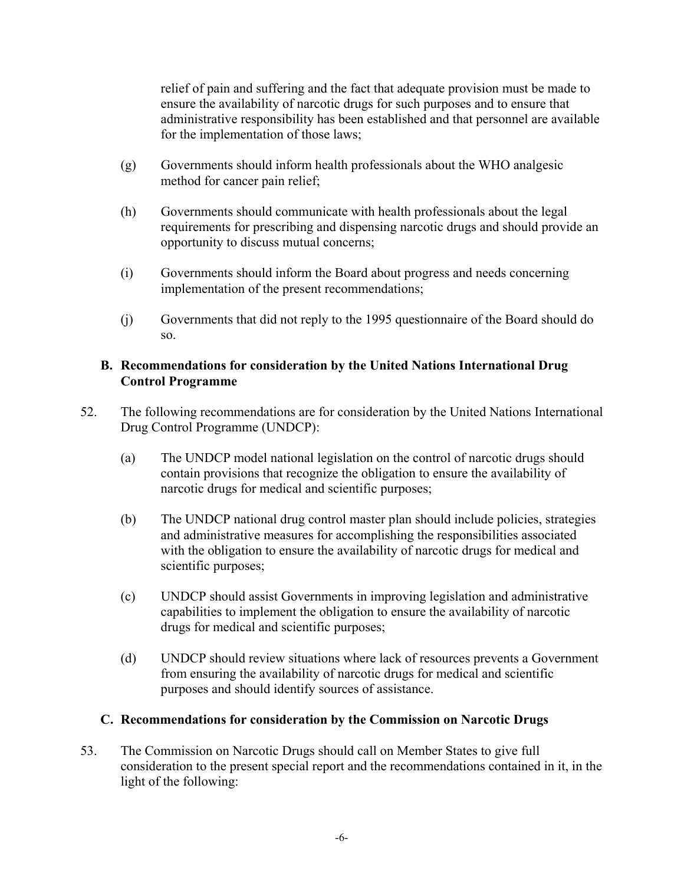relief of pain and suffering and the fact that adequate provision must be made to ensure the availability of narcotic drugs for such purposes and to ensure that administrative responsibility has been established and that personnel are available for the implementation of those laws;

- (g) Governments should inform health professionals about the WHO analgesic method for cancer pain relief;
- (h) Governments should communicate with health professionals about the legal requirements for prescribing and dispensing narcotic drugs and should provide an opportunity to discuss mutual concerns;
- (i) Governments should inform the Board about progress and needs concerning implementation of the present recommendations;
- (j) Governments that did not reply to the 1995 questionnaire of the Board should do so.

# **B. Recommendations for consideration by the United Nations International Drug Control Programme**

- 52. The following recommendations are for consideration by the United Nations International Drug Control Programme (UNDCP):
	- (a) The UNDCP model national legislation on the control of narcotic drugs should contain provisions that recognize the obligation to ensure the availability of narcotic drugs for medical and scientific purposes;
	- (b) The UNDCP national drug control master plan should include policies, strategies and administrative measures for accomplishing the responsibilities associated with the obligation to ensure the availability of narcotic drugs for medical and scientific purposes;
	- (c) UNDCP should assist Governments in improving legislation and administrative capabilities to implement the obligation to ensure the availability of narcotic drugs for medical and scientific purposes;
	- (d) UNDCP should review situations where lack of resources prevents a Government from ensuring the availability of narcotic drugs for medical and scientific purposes and should identify sources of assistance.

# **C. Recommendations for consideration by the Commission on Narcotic Drugs**

53. The Commission on Narcotic Drugs should call on Member States to give full consideration to the present special report and the recommendations contained in it, in the light of the following: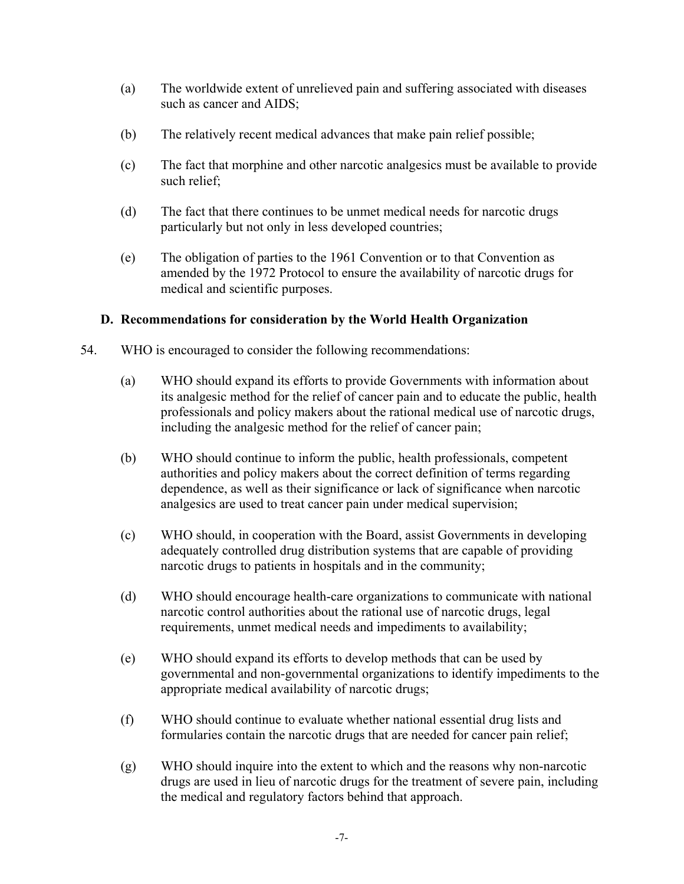- (a) The worldwide extent of unrelieved pain and suffering associated with diseases such as cancer and AIDS;
- (b) The relatively recent medical advances that make pain relief possible;
- (c) The fact that morphine and other narcotic analgesics must be available to provide such relief;
- (d) The fact that there continues to be unmet medical needs for narcotic drugs particularly but not only in less developed countries;
- (e) The obligation of parties to the 1961 Convention or to that Convention as amended by the 1972 Protocol to ensure the availability of narcotic drugs for medical and scientific purposes.

### **D. Recommendations for consideration by the World Health Organization**

- 54. WHO is encouraged to consider the following recommendations:
	- (a) WHO should expand its efforts to provide Governments with information about its analgesic method for the relief of cancer pain and to educate the public, health professionals and policy makers about the rational medical use of narcotic drugs, including the analgesic method for the relief of cancer pain;
	- (b) WHO should continue to inform the public, health professionals, competent authorities and policy makers about the correct definition of terms regarding dependence, as well as their significance or lack of significance when narcotic analgesics are used to treat cancer pain under medical supervision;
	- (c) WHO should, in cooperation with the Board, assist Governments in developing adequately controlled drug distribution systems that are capable of providing narcotic drugs to patients in hospitals and in the community;
	- (d) WHO should encourage health-care organizations to communicate with national narcotic control authorities about the rational use of narcotic drugs, legal requirements, unmet medical needs and impediments to availability;
	- (e) WHO should expand its efforts to develop methods that can be used by governmental and non-governmental organizations to identify impediments to the appropriate medical availability of narcotic drugs;
	- (f) WHO should continue to evaluate whether national essential drug lists and formularies contain the narcotic drugs that are needed for cancer pain relief;
	- (g) WHO should inquire into the extent to which and the reasons why non-narcotic drugs are used in lieu of narcotic drugs for the treatment of severe pain, including the medical and regulatory factors behind that approach.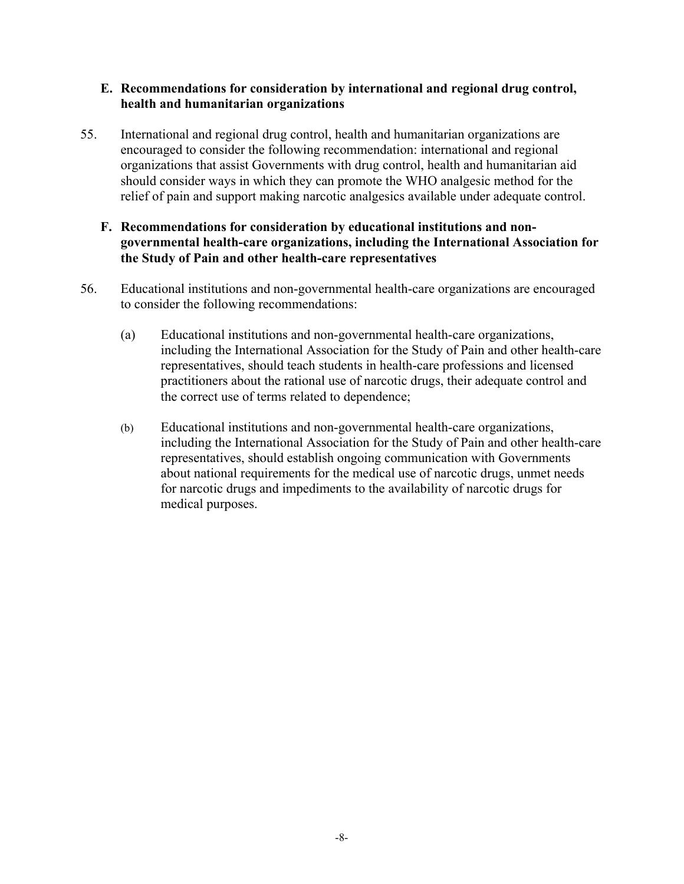### **E. Recommendations for consideration by international and regional drug control, health and humanitarian organizations**

55. International and regional drug control, health and humanitarian organizations are encouraged to consider the following recommendation: international and regional organizations that assist Governments with drug control, health and humanitarian aid should consider ways in which they can promote the WHO analgesic method for the relief of pain and support making narcotic analgesics available under adequate control.

### **F. Recommendations for consideration by educational institutions and nongovernmental health-care organizations, including the International Association for the Study of Pain and other health-care representatives**

- 56. Educational institutions and non-governmental health-care organizations are encouraged to consider the following recommendations:
	- (a) Educational institutions and non-governmental health-care organizations, including the International Association for the Study of Pain and other health-care representatives, should teach students in health-care professions and licensed practitioners about the rational use of narcotic drugs, their adequate control and the correct use of terms related to dependence;
	- (b) Educational institutions and non-governmental health-care organizations, including the International Association for the Study of Pain and other health-care representatives, should establish ongoing communication with Governments about national requirements for the medical use of narcotic drugs, unmet needs for narcotic drugs and impediments to the availability of narcotic drugs for medical purposes.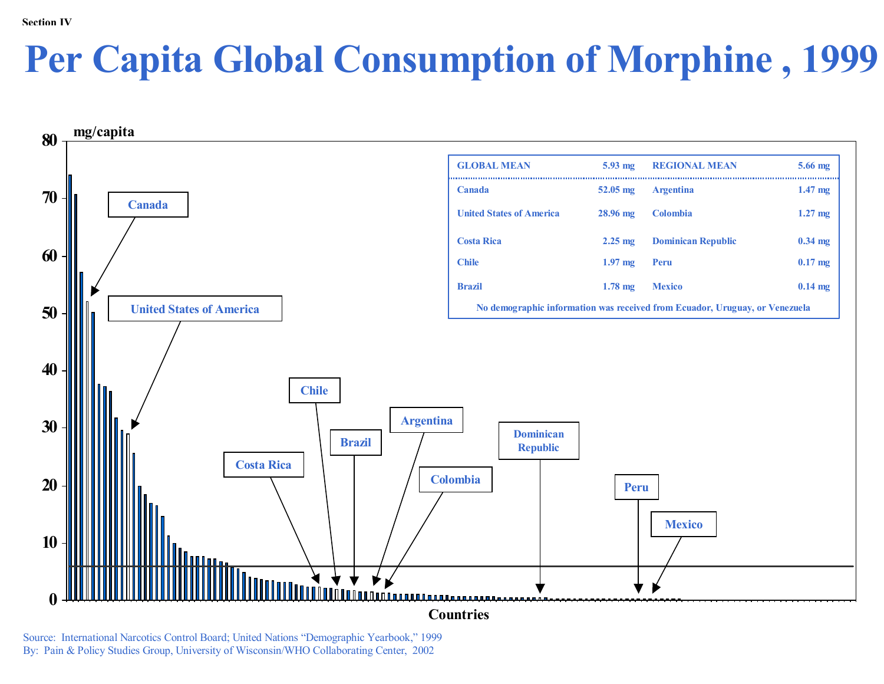# **Per Capita Global Consumption of Morphine , 1999**



Source: International Narcotics Control Board; United Nations "Demographic Yearbook," 1999 By: Pain & Policy Studies Group, University of Wisconsin/WHO Collaborating Center, 2002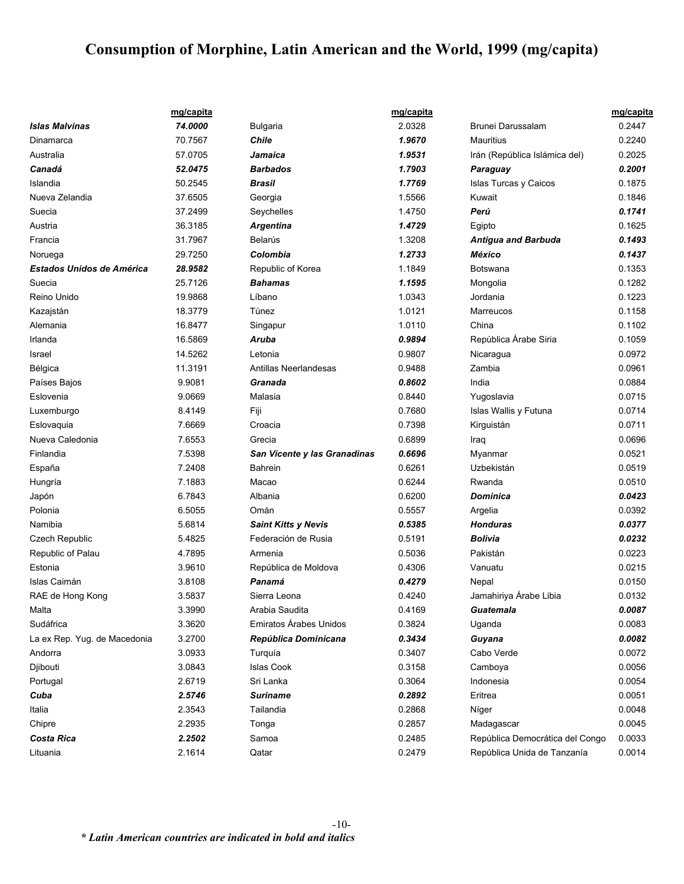# **Consumption of Morphine, Latin American and the World, 1999 (mg/capita)**

|                                  | mg/capita |                              | mg/capita |                                 | mg/capita |
|----------------------------------|-----------|------------------------------|-----------|---------------------------------|-----------|
| <b>Islas Malvinas</b>            | 74.0000   | <b>Bulgaria</b>              | 2.0328    | Brunei Darussalam               | 0.2447    |
| Dinamarca                        | 70.7567   | <b>Chile</b>                 | 1.9670    | Mauritius                       | 0.2240    |
| Australia                        | 57.0705   | Jamaica                      | 1.9531    | Irán (República Islámica del)   | 0.2025    |
| Canadá                           | 52.0475   | <b>Barbados</b>              | 1.7903    | Paraguay                        | 0.2001    |
| Islandia                         | 50.2545   | Brasil                       | 1.7769    | Islas Turcas y Caicos           | 0.1875    |
| Nueva Zelandia                   | 37.6505   | Georgia                      | 1.5566    | Kuwait                          | 0.1846    |
| Suecia                           | 37.2499   | Seychelles                   | 1.4750    | Perú                            | 0.1741    |
| Austria                          | 36.3185   | <b>Argentina</b>             | 1.4729    | Egipto                          | 0.1625    |
| Francia                          | 31.7967   | Belarús                      | 1.3208    | <b>Antigua and Barbuda</b>      | 0.1493    |
| Noruega                          | 29.7250   | Colombia                     | 1.2733    | México                          | 0.1437    |
| <b>Estados Unidos de América</b> | 28.9582   | Republic of Korea            | 1.1849    | Botswana                        | 0.1353    |
| Suecia                           | 25.7126   | <b>Bahamas</b>               | 1.1595    | Mongolia                        | 0.1282    |
| Reino Unido                      | 19.9868   | Líbano                       | 1.0343    | Jordania                        | 0.1223    |
| Kazajstán                        | 18.3779   | Túnez                        | 1.0121    | Marreucos                       | 0.1158    |
| Alemania                         | 16.8477   | Singapur                     | 1.0110    | China                           | 0.1102    |
| Irlanda                          | 16.5869   | Aruba                        | 0.9894    | República Árabe Siria           | 0.1059    |
| Israel                           | 14.5262   | Letonia                      | 0.9807    | Nicaragua                       | 0.0972    |
| Bélgica                          | 11.3191   | Antillas Neerlandesas        | 0.9488    | Zambia                          | 0.0961    |
| Países Bajos                     | 9.9081    | Granada                      | 0.8602    | India                           | 0.0884    |
| Eslovenia                        | 9.0669    | Malasia                      | 0.8440    | Yugoslavia                      | 0.0715    |
| Luxemburgo                       | 8.4149    | Fiji                         | 0.7680    | Islas Wallis y Futuna           | 0.0714    |
| Eslovaquia                       | 7.6669    | Croacia                      | 0.7398    | Kirguistán                      | 0.0711    |
| Nueva Caledonia                  | 7.6553    | Grecia                       | 0.6899    | Iraq                            | 0.0696    |
| Finlandia                        | 7.5398    | San Vicente y las Granadinas | 0.6696    | Myanmar                         | 0.0521    |
| España                           | 7.2408    | <b>Bahrein</b>               | 0.6261    | Uzbekistán                      | 0.0519    |
| Hungría                          | 7.1883    | Macao                        | 0.6244    | Rwanda                          | 0.0510    |
| Japón                            | 6.7843    | Albania                      | 0.6200    | Dominica                        | 0.0423    |
| Polonia                          | 6.5055    | Omán                         | 0.5557    | Argelia                         | 0.0392    |
| Namibia                          | 5.6814    | <b>Saint Kitts y Nevis</b>   | 0.5385    | Honduras                        | 0.0377    |
| Czech Republic                   | 5.4825    | Federación de Rusia          | 0.5191    | Bolivia                         | 0.0232    |
| Republic of Palau                | 4.7895    | Armenia                      | 0.5036    | Pakistán                        | 0.0223    |
| Estonia                          | 3.9610    | República de Moldova         | 0.4306    | Vanuatu                         | 0.0215    |
| <b>Islas Caimán</b>              | 3.8108    | Panamá                       | 0.4279    | Nepal                           | 0.0150    |
| RAE de Hong Kong                 | 3.5837    | Sierra Leona                 | 0.4240    | Jamahiriya Árabe Libia          | 0.0132    |
| Malta                            | 3.3990    | Arabia Saudita               | 0.4169    | Guatemala                       | 0.0087    |
| Sudáfrica                        | 3.3620    | Emiratos Árabes Unidos       | 0.3824    | Uganda                          | 0.0083    |
| La ex Rep. Yug. de Macedonia     | 3.2700    | República Dominicana         | 0.3434    | Guyana                          | 0.0082    |
| Andorra                          | 3.0933    | Turquía                      | 0.3407    | Cabo Verde                      | 0.0072    |
| Djibouti                         | 3.0843    | <b>Islas Cook</b>            | 0.3158    | Camboya                         | 0.0056    |
| Portugal                         | 2.6719    | Sri Lanka                    | 0.3064    | Indonesia                       | 0.0054    |
| Cuba                             | 2.5746    | Suriname                     | 0.2892    | Eritrea                         | 0.0051    |
| Italia                           | 2.3543    | Tailandia                    | 0.2868    | Níger                           | 0.0048    |
| Chipre                           | 2.2935    | Tonga                        | 0.2857    | Madagascar                      | 0.0045    |
| Costa Rica                       | 2.2502    | Samoa                        | 0.2485    | República Democrática del Congo | 0.0033    |
| Lituania                         | 2.1614    | Qatar                        | 0.2479    | República Unida de Tanzanía     | 0.0014    |
|                                  |           |                              |           |                                 |           |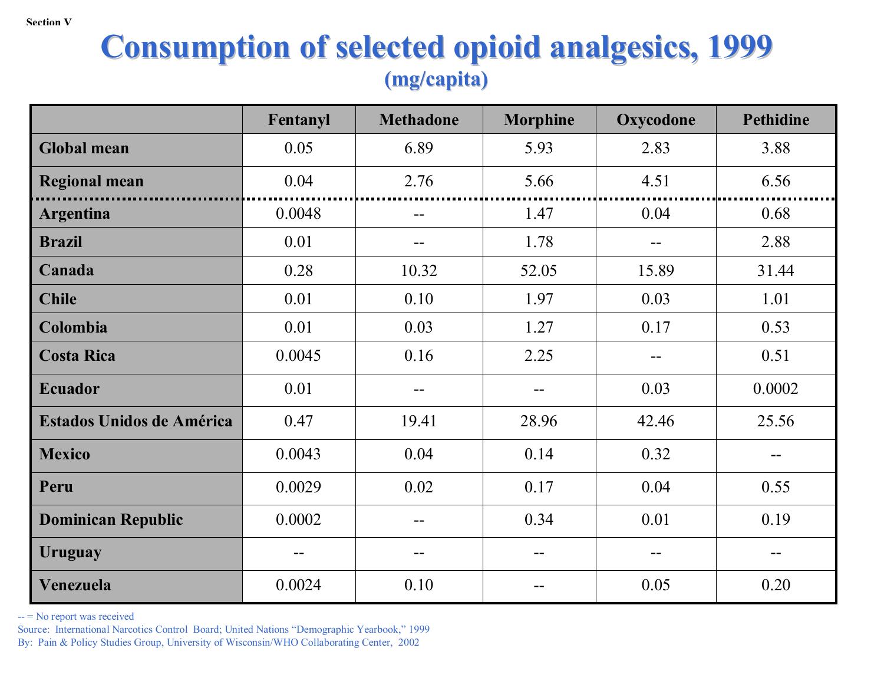# **Consumption of selected opioid analgesics, 1999 Consumption of selected opioid analgesics, 1999 (mg/capita) (mg/capita)**

|                                  | Fentanyl | <b>Methadone</b> | <b>Morphine</b> | Oxycodone | <b>Pethidine</b> |
|----------------------------------|----------|------------------|-----------------|-----------|------------------|
| <b>Global mean</b>               | 0.05     | 6.89             | 5.93            | 2.83      | 3.88             |
| <b>Regional mean</b>             | 0.04     | 2.76             | 5.66            | 4.51      | 6.56             |
| <b>Argentina</b>                 | 0.0048   | --               | 1.47            | 0.04      | 0.68             |
| <b>Brazil</b>                    | 0.01     |                  | 1.78            |           | 2.88             |
| Canada                           | 0.28     | 10.32            | 52.05           | 15.89     | 31.44            |
| <b>Chile</b>                     | 0.01     | 0.10             | 1.97            | 0.03      | 1.01             |
| Colombia                         | 0.01     | 0.03             | 1.27            | 0.17      | 0.53             |
| <b>Costa Rica</b>                | 0.0045   | 0.16             | 2.25            |           | 0.51             |
| <b>Ecuador</b>                   | 0.01     | --               | --              | 0.03      | 0.0002           |
| <b>Estados Unidos de América</b> | 0.47     | 19.41            | 28.96           | 42.46     | 25.56            |
| <b>Mexico</b>                    | 0.0043   | 0.04             | 0.14            | 0.32      | --               |
| Peru                             | 0.0029   | 0.02             | 0.17            | 0.04      | 0.55             |
| <b>Dominican Republic</b>        | 0.0002   | --               | 0.34            | 0.01      | 0.19             |
| <b>Uruguay</b>                   | --       | --               | --              |           |                  |
| Venezuela                        | 0.0024   | 0.10             |                 | 0.05      | 0.20             |

-- = No report was received

Source: International Narcotics Control Board; United Nations "Demographic Yearbook," 1999 By: Pain & Policy Studies Group, University of Wisconsin/WHO Collaborating Center, 2002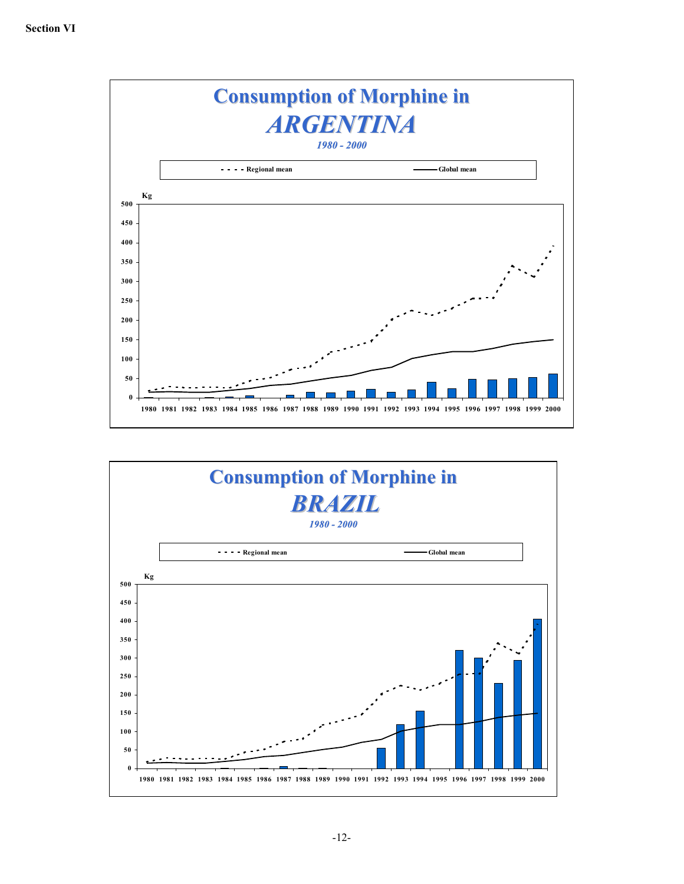

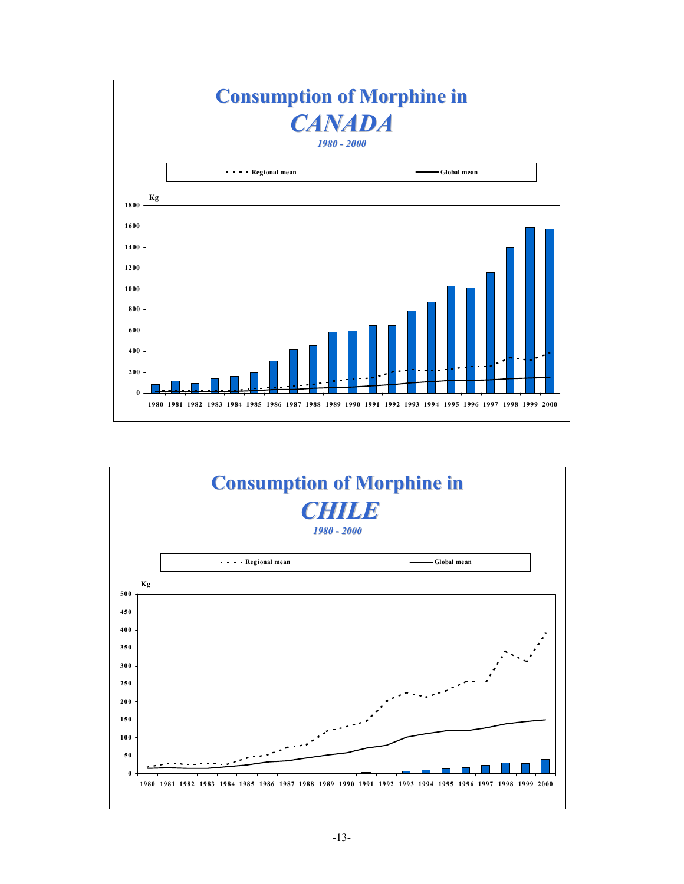

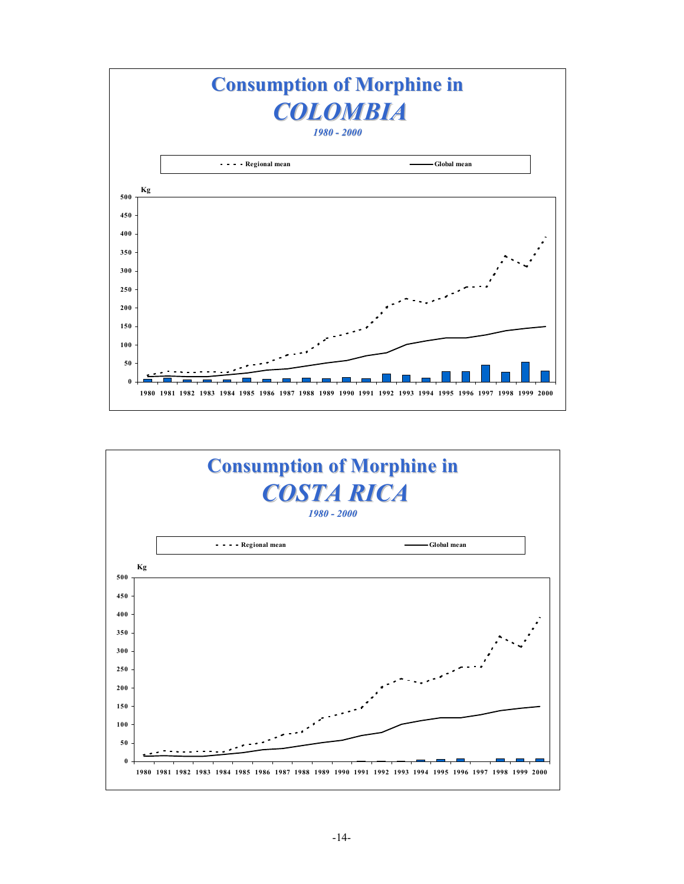

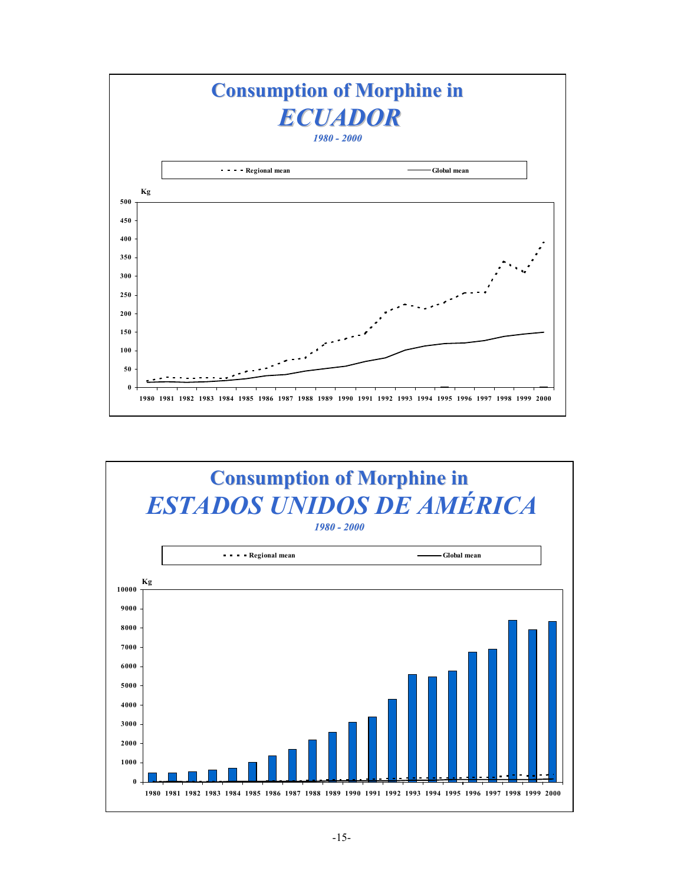

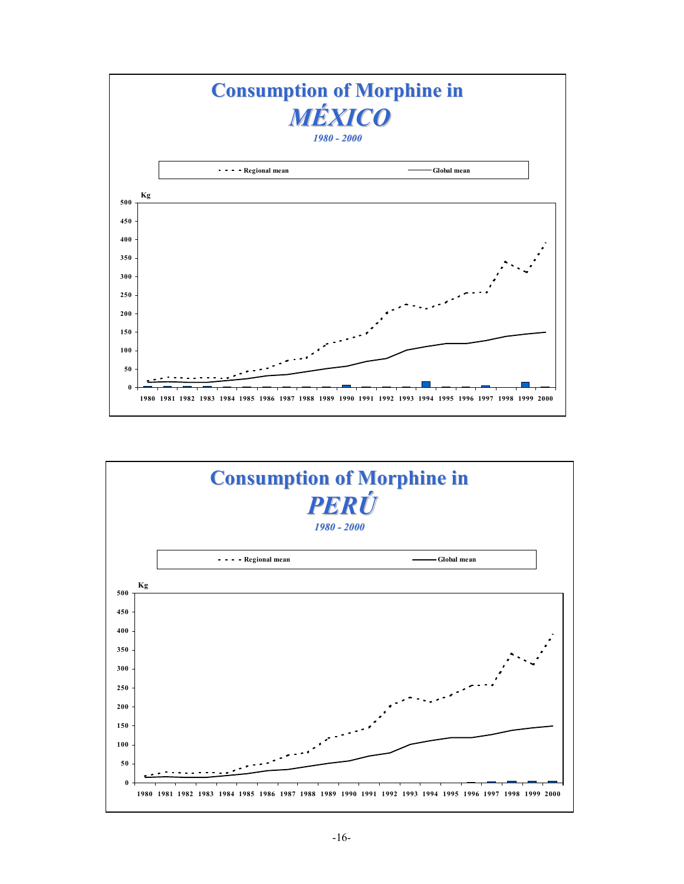

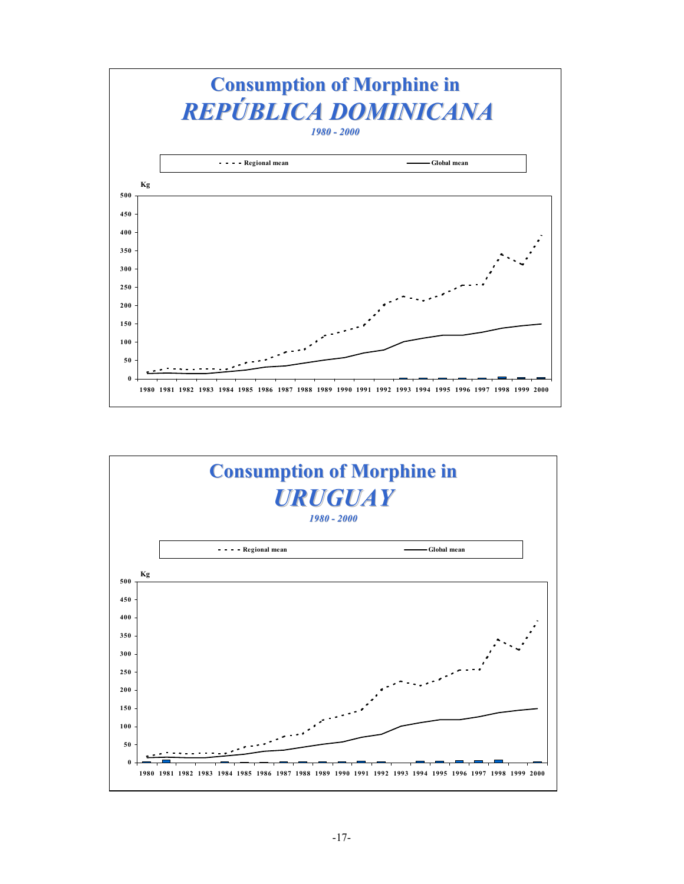

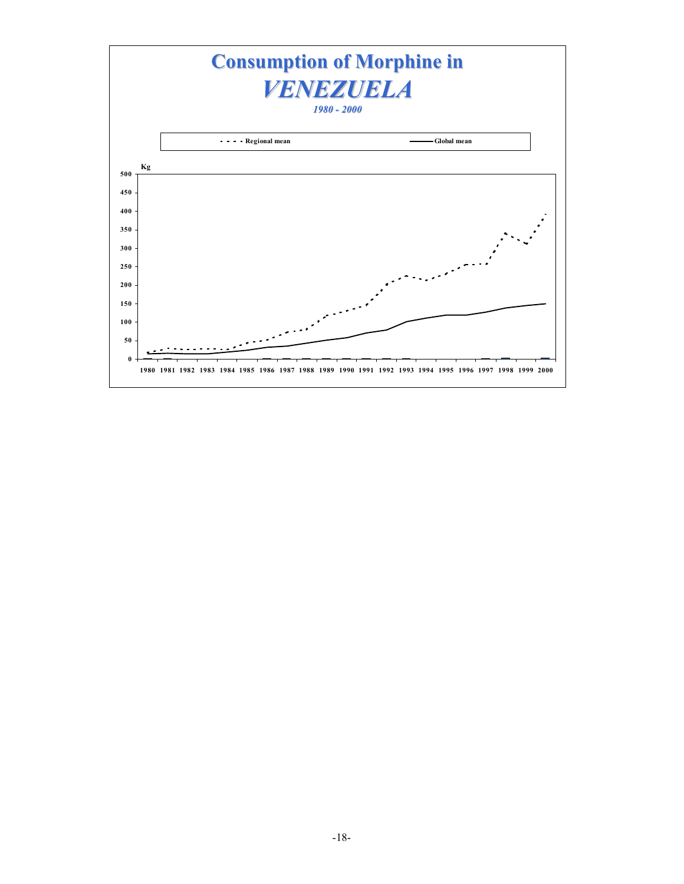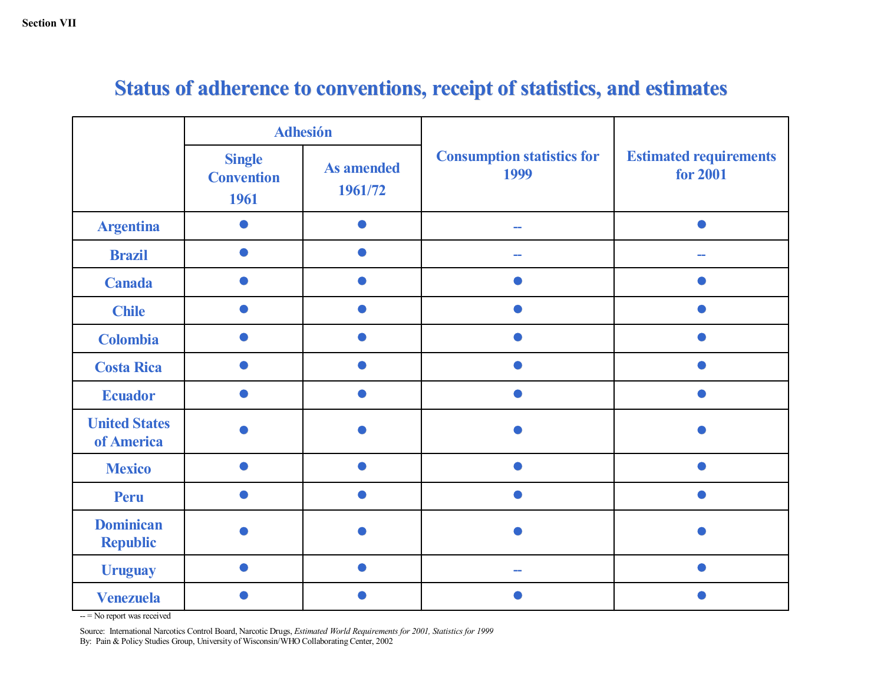|                                     |                                            | <b>Adhesión</b>              |                                           | <b>Estimated requirements</b><br>for 2001 |  |
|-------------------------------------|--------------------------------------------|------------------------------|-------------------------------------------|-------------------------------------------|--|
|                                     | <b>Single</b><br><b>Convention</b><br>1961 | <b>As amended</b><br>1961/72 | <b>Consumption statistics for</b><br>1999 |                                           |  |
| <b>Argentina</b>                    |                                            |                              | --                                        |                                           |  |
| <b>Brazil</b>                       |                                            |                              |                                           |                                           |  |
| <b>Canada</b>                       |                                            |                              |                                           |                                           |  |
| <b>Chile</b>                        |                                            |                              |                                           |                                           |  |
| <b>Colombia</b>                     |                                            |                              |                                           |                                           |  |
| <b>Costa Rica</b>                   |                                            |                              |                                           |                                           |  |
| <b>Ecuador</b>                      |                                            |                              |                                           |                                           |  |
| <b>United States</b><br>of America  |                                            |                              |                                           |                                           |  |
| <b>Mexico</b>                       |                                            |                              |                                           |                                           |  |
| <b>Peru</b>                         |                                            |                              |                                           |                                           |  |
| <b>Dominican</b><br><b>Republic</b> |                                            |                              |                                           |                                           |  |
| <b>Uruguay</b>                      |                                            |                              |                                           |                                           |  |
| <b>Venezuela</b>                    |                                            |                              |                                           |                                           |  |

# **Status of adherence to conventions, receipt of statistics, and estimates**

-- = No report was received

Source: International Narcotics Control Board, Narcotic Drugs, *Estimated World Requirements for 2001, Statistics for 1999*<br>Dr. Dein & Policy Stadies Cream, University of Wisconsin WJJO Calleborating Center 2002 By: Pain & Policy Studies Group, University of Wisconsin/WHO Collaborating Center, 2002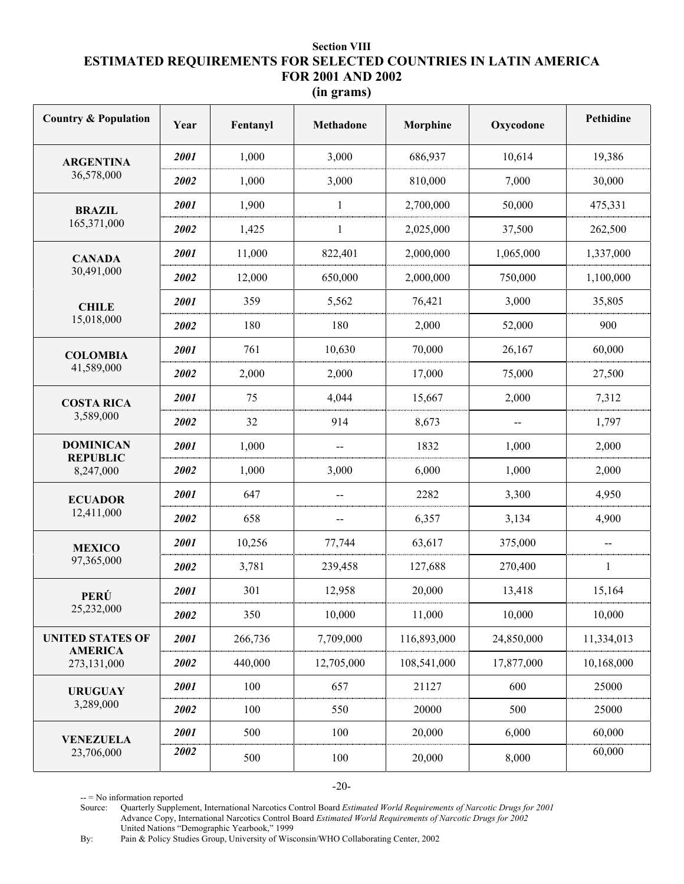# **Section VIII ESTIMATED REQUIREMENTS FOR SELECTED COUNTRIES IN LATIN AMERICA FOR 2001 AND 2002**

| (In grams) |  |
|------------|--|
|            |  |

| <b>Country &amp; Population</b>           | Year | Fentanyl | <b>Methadone</b> | Morphine    | Oxycodone  | Pethidine  |
|-------------------------------------------|------|----------|------------------|-------------|------------|------------|
| <b>ARGENTINA</b>                          | 2001 | 1,000    | 3,000            | 686,937     | 10,614     | 19,386     |
| 36,578,000                                | 2002 | 1,000    | 3,000            | 810,000     | 7,000      | 30,000     |
| <b>BRAZIL</b>                             | 2001 | 1,900    | 1                | 2,700,000   | 50,000     | 475,331    |
| 165,371,000                               | 2002 | 1,425    | 1                | 2,025,000   | 37,500     | 262,500    |
| <b>CANADA</b>                             | 2001 | 11,000   | 822,401          | 2,000,000   | 1,065,000  | 1,337,000  |
| 30,491,000                                | 2002 | 12,000   | 650,000          | 2,000,000   | 750,000    | 1,100,000  |
| <b>CHILE</b>                              | 2001 | 359      | 5,562            | 76,421      | 3,000      | 35,805     |
| 15,018,000                                | 2002 | 180      | 180              | 2,000       | 52,000     | 900        |
| <b>COLOMBIA</b>                           | 2001 | 761      | 10,630           | 70,000      | 26,167     | 60,000     |
| 41,589,000                                | 2002 | 2,000    | 2,000            | 17,000      | 75,000     | 27,500     |
| <b>COSTA RICA</b>                         | 2001 | 75       | 4,044            | 15,667      | 2,000      | 7,312      |
| 3,589,000                                 | 2002 | 32       | 914              | 8,673       | $-$        | 1,797      |
| <b>DOMINICAN</b><br><b>REPUBLIC</b>       | 2001 | 1,000    |                  | 1832        | 1,000      | 2,000      |
| 8,247,000                                 | 2002 | 1,000    | 3,000            | 6,000       | 1,000      | 2,000      |
| <b>ECUADOR</b>                            | 2001 | 647      | --               | 2282        | 3,300      | 4,950      |
| 12,411,000                                | 2002 | 658      | --               | 6,357       | 3,134      | 4,900      |
| <b>MEXICO</b>                             | 2001 | 10,256   | 77,744           | 63,617      | 375,000    |            |
| 97,365,000                                | 2002 | 3,781    | 239,458          | 127,688     | 270,400    | 1          |
| PERÚ                                      | 2001 | 301      | 12,958           | 20,000      | 13,418     | 15,164     |
| 25,232,000                                | 2002 | 350      | 10,000           | 11,000      | 10,000     | 10,000     |
| <b>UNITED STATES OF</b><br><b>AMERICA</b> | 2001 | 266,736  | 7,709,000        | 116,893,000 | 24,850,000 | 11,334,013 |
| 273,131,000                               | 2002 | 440,000  | 12,705,000       | 108,541,000 | 17,877,000 | 10,168,000 |
| <b>URUGUAY</b>                            | 2001 | 100      | 657              | 21127       | 600        | 25000      |
| 3,289,000                                 | 2002 | 100      | 550              | 20000       | 500        | 25000      |
| <b>VENEZUELA</b>                          | 2001 | 500      | 100              | 20,000      | 6,000      | 60,000     |
| 23,706,000                                | 2002 | 500      | 100              | 20,000      | 8,000      | 60,000     |

-20-

-- = No information reported

Source: Quarterly Supplement, International Narcotics Control Board *Estimated World Requirements of Narcotic Drugs for 2001* Advance Copy, International Narcotics Control Board *Estimated World Requirements of Narcotic Drugs for 2002* United Nations "Demographic Yearbook," 1999

By: Pain & Policy Studies Group, University of Wisconsin/WHO Collaborating Center, 2002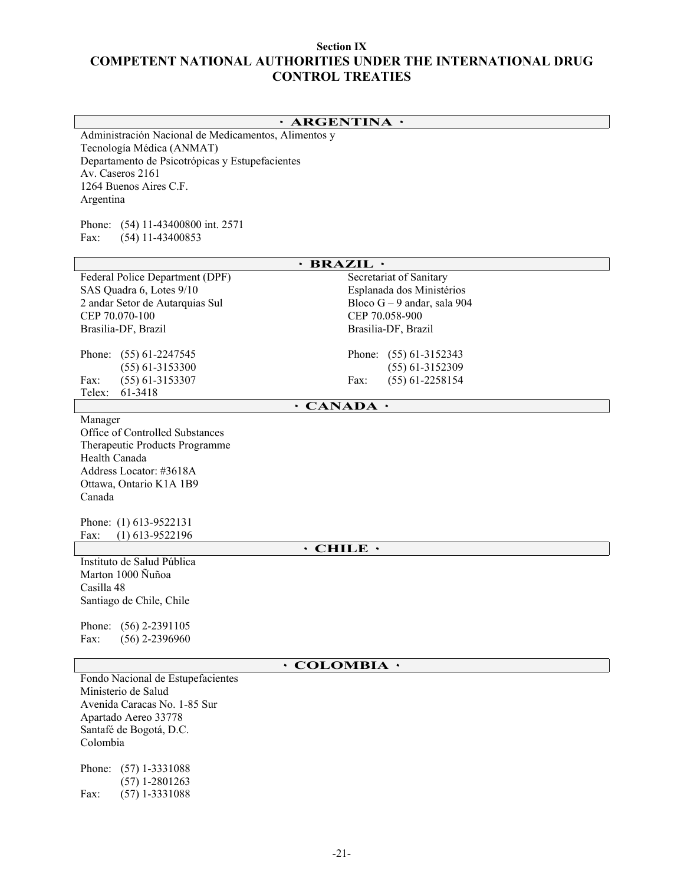### **Section IX COMPETENT NATIONAL AUTHORITIES UNDER THE INTERNATIONAL DRUG CONTROL TREATIES**

### **٠ ARGENTINA ٠**

Administración Nacional de Medicamentos, Alimentos y Tecnología Médica (ANMAT) Departamento de Psicotrópicas y Estupefacientes Av. Caseros 2161 1264 Buenos Aires C.F. Argentina

Phone: (54) 11-43400800 int. 2571 Fax: (54) 11-43400853

| $\cdot$ BRAZIL $\cdot$                         |                                                |  |  |  |  |
|------------------------------------------------|------------------------------------------------|--|--|--|--|
| Federal Police Department (DPF)                | Secretariat of Sanitary                        |  |  |  |  |
| SAS Quadra 6, Lotes 9/10                       | Esplanada dos Ministérios                      |  |  |  |  |
| 2 andar Setor de Autarquias Sul                | Bloco $G - 9$ andar, sala 904                  |  |  |  |  |
| CEP 70.070-100                                 | CEP 70.058-900                                 |  |  |  |  |
| Brasilia-DF, Brazil                            | Brasilia-DF, Brazil                            |  |  |  |  |
|                                                |                                                |  |  |  |  |
| Phone: (55) 61-2247545                         | Phone:<br>$(55)$ 61-3152343                    |  |  |  |  |
| $(55)$ 61-3153300<br>$(55)$ 61-3153307<br>Fax: | $(55)$ 61-3152309<br>$(55)$ 61-2258154<br>Fax: |  |  |  |  |
| Telex:<br>61-3418                              |                                                |  |  |  |  |
|                                                | $\cdot$ CANADA $\cdot$                         |  |  |  |  |
| Manager                                        |                                                |  |  |  |  |
| Office of Controlled Substances                |                                                |  |  |  |  |
| Therapeutic Products Programme                 |                                                |  |  |  |  |
| Health Canada                                  |                                                |  |  |  |  |
| Address Locator: #3618A                        |                                                |  |  |  |  |
| Ottawa, Ontario K1A 1B9                        |                                                |  |  |  |  |
| Canada                                         |                                                |  |  |  |  |
| Phone: (1) 613-9522131                         |                                                |  |  |  |  |
| $(1)$ 613-9522196<br>Fax:                      |                                                |  |  |  |  |
| $\cdot$ CHILE $\cdot$                          |                                                |  |  |  |  |
| Instituto de Salud Pública                     |                                                |  |  |  |  |
| Marton 1000 Ñuñoa                              |                                                |  |  |  |  |
| Casilla 48                                     |                                                |  |  |  |  |
| Santiago de Chile, Chile                       |                                                |  |  |  |  |
|                                                |                                                |  |  |  |  |
| Phone:<br>$(56)$ 2-2391105                     |                                                |  |  |  |  |
| Fax:<br>$(56)$ 2-2396960                       |                                                |  |  |  |  |
|                                                | $\cdot$ COLOMBIA $\cdot$                       |  |  |  |  |
| Fondo Nacional de Estupefacientes              |                                                |  |  |  |  |
| Ministerio de Salud                            |                                                |  |  |  |  |
| Avenida Caracas No. 1-85 Sur                   |                                                |  |  |  |  |
| Apartado Aereo 33778                           |                                                |  |  |  |  |
| Santafé de Bogotá, D.C.                        |                                                |  |  |  |  |
| Colombia                                       |                                                |  |  |  |  |
| $(57)$ 1-3331088                               |                                                |  |  |  |  |
| Phone:<br>$(57)$ 1-2801263                     |                                                |  |  |  |  |
| $(57)$ 1-3331088<br>Fax:                       |                                                |  |  |  |  |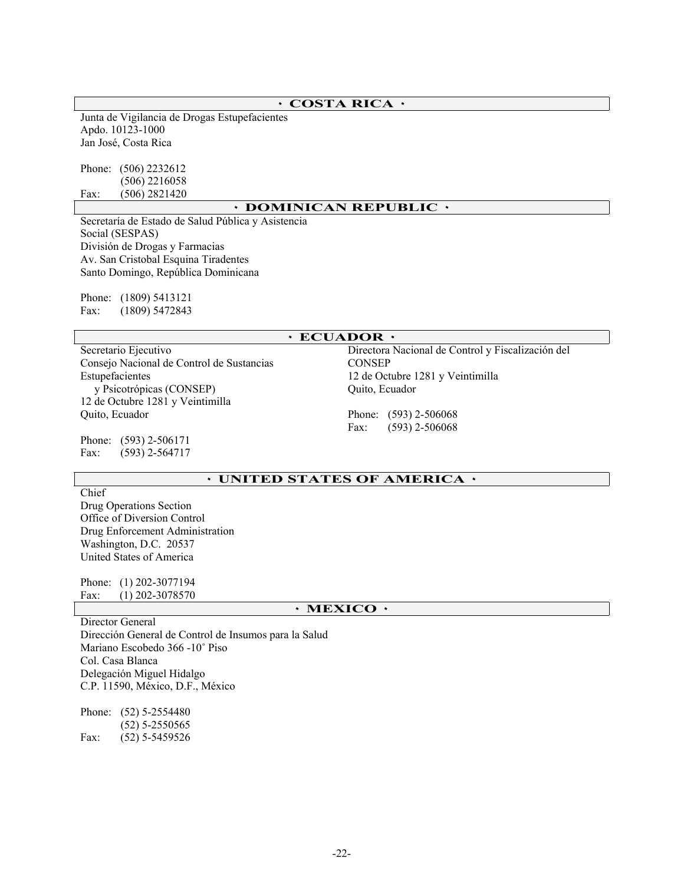### **٠ COSTA RICA ٠**

Junta de Vigilancia de Drogas Estupefacientes Apdo. 10123-1000 Jan José, Costa Rica

Phone: (506) 2232612 (506) 2216058 Fax: (506) 2821420

#### **٠ DOMINICAN REPUBLIC ٠**

Secretaría de Estado de Salud Pública y Asistencia Social (SESPAS) División de Drogas y Farmacias Av. San Cristobal Esquina Tiradentes Santo Domingo, República Dominicana

Phone: (1809) 5413121 Fax: (1809) 5472843

### **٠ ECUADOR ٠**

Secretario Ejecutivo Consejo Nacional de Control de Sustancias Estupefacientes y Psicotrópicas (CONSEP) 12 de Octubre 1281 y Veintimilla Quito, Ecuador

Phone: (593) 2-506171 Fax: (593) 2-564717

Directora Nacional de Control y Fiscalización del **CONSEP** 12 de Octubre 1281 y Veintimilla Quito, Ecuador

Phone: (593) 2-506068 Fax: (593) 2-506068

### **٠ UNITED STATES OF AMERICA ٠**

Chief Drug Operations Section Office of Diversion Control Drug Enforcement Administration Washington, D.C. 20537 United States of America

Phone: (1) 202-3077194 Fax: (1) 202-3078570

### **٠ MEXICO ٠**

Director General Dirección General de Control de Insumos para la Salud Mariano Escobedo 366 -10˚ Piso Col. Casa Blanca Delegación Miguel Hidalgo C.P. 11590, México, D.F., México

Phone: (52) 5-2554480 (52) 5-2550565 Fax: (52) 5-5459526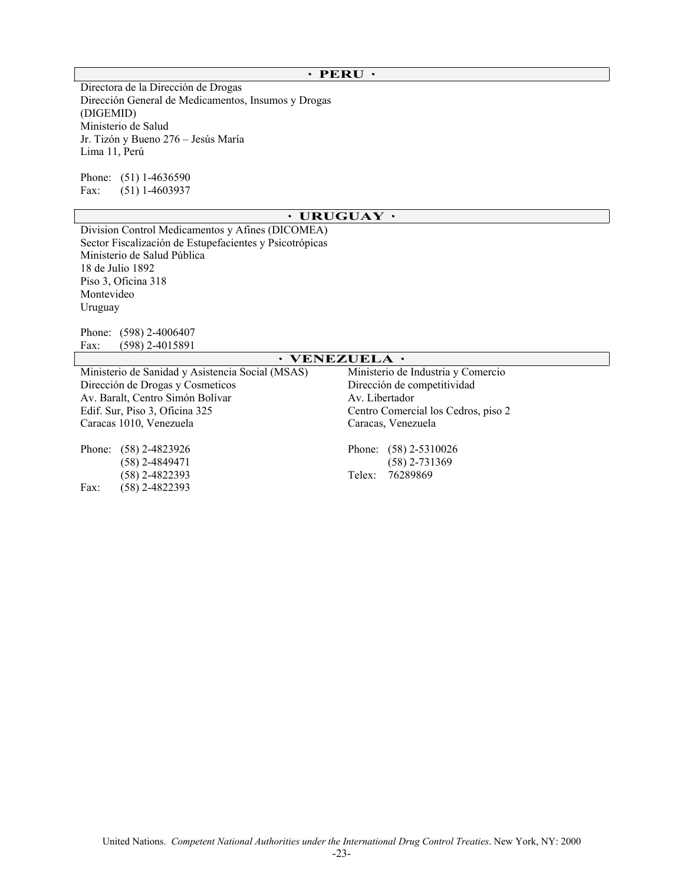### **٠ PERU ٠**

Directora de la Dirección de Drogas Dirección General de Medicamentos, Insumos y Drogas (DIGEMID) Ministerio de Salud Jr. Tizón y Bueno 276 – Jesús María Lima 11, Perú

Phone: (51) 1-4636590 Fax: (51) 1-4603937

### **٠ URUGUAY ٠**

Division Control Medicamentos y Afines (DICOMEA) Sector Fiscalización de Estupefacientes y Psicotrópicas Ministerio de Salud Pública 18 de Julio 1892 Piso 3, Oficina 318 Montevideo Uruguay

Phone: (598) 2-4006407 Fax: (598) 2-4015891

|                                                  | $\cdot$ VENEZUELA $\cdot$           |  |  |
|--------------------------------------------------|-------------------------------------|--|--|
| Ministerio de Sanidad y Asistencia Social (MSAS) | Ministerio de Industria y Comercio  |  |  |
| Dirección de Drogas y Cosmeticos                 | Dirección de competitividad         |  |  |
| Av. Baralt, Centro Simón Bolívar                 | Av. Libertador                      |  |  |
| Edif. Sur, Piso 3, Oficina 325                   | Centro Comercial los Cedros, piso 2 |  |  |
| Caracas 1010, Venezuela                          | Caracas, Venezuela                  |  |  |
| Phone:<br>$(58)$ 2-4823926                       | Phone: $(58)$ 2-5310026             |  |  |
| (58) 2-4849471                                   | (58) 2-731369                       |  |  |
| (58) 2-4822393                                   | 76289869<br>Telex:                  |  |  |
| $(58)$ 2-4822393<br>Fax:                         |                                     |  |  |
|                                                  |                                     |  |  |

# United Nations. *Competent National Authorities under the International Drug Control Treaties*. New York, NY: 2000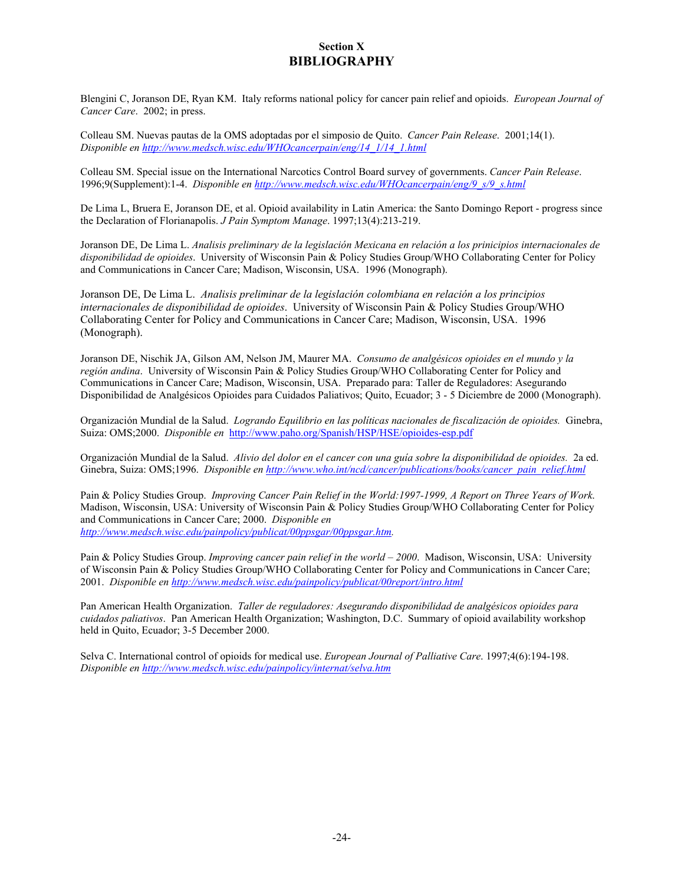### **Section X BIBLIOGRAPHY**

Blengini C, Joranson DE, Ryan KM. Italy reforms national policy for cancer pain relief and opioids. *European Journal of Cancer Care*. 2002; in press.

Colleau SM. Nuevas pautas de la OMS adoptadas por el simposio de Quito. *Cancer Pain Release*. 2001;14(1). *Disponible en http://www.medsch.wisc.edu/WHOcancerpain/eng/14\_1/14\_1.html*

Colleau SM. Special issue on the International Narcotics Control Board survey of governments. *Cancer Pain Release*. 1996;9(Supplement):1-4. *Disponible en http://www.medsch.wisc.edu/WHOcancerpain/eng/9\_s/9\_s.html*

De Lima L, Bruera E, Joranson DE, et al. Opioid availability in Latin America: the Santo Domingo Report - progress since the Declaration of Florianapolis. *J Pain Symptom Manage*. 1997;13(4):213-219.

Joranson DE, De Lima L. *Analisis preliminary de la legislación Mexicana en relación a los prinicipios internacionales de disponibilidad de opioides*. University of Wisconsin Pain & Policy Studies Group/WHO Collaborating Center for Policy and Communications in Cancer Care; Madison, Wisconsin, USA. 1996 (Monograph).

Joranson DE, De Lima L. *Analisis preliminar de la legislación colombiana en relación a los principios internacionales de disponibilidad de opioides*. University of Wisconsin Pain & Policy Studies Group/WHO Collaborating Center for Policy and Communications in Cancer Care; Madison, Wisconsin, USA. 1996 (Monograph).

Joranson DE, Nischik JA, Gilson AM, Nelson JM, Maurer MA. *Consumo de analgésicos opioides en el mundo y la región andina*. University of Wisconsin Pain & Policy Studies Group/WHO Collaborating Center for Policy and Communications in Cancer Care; Madison, Wisconsin, USA. Preparado para: Taller de Reguladores: Asegurando Disponibilidad de Analgésicos Opioides para Cuidados Paliativos; Quito, Ecuador; 3 - 5 Diciembre de 2000 (Monograph).

Organización Mundial de la Salud. *Logrando Equilibrio en las políticas nacionales de fiscalización de opioides.* Ginebra, Suiza: OMS;2000. *Disponible en* http://www.paho.org/Spanish/HSP/HSE/opioides-esp.pdf

Organización Mundial de la Salud. *Alivio del dolor en el cancer con una guía sobre la disponibilidad de opioides.* 2a ed. Ginebra, Suiza: OMS;1996. *Disponible en http://www.who.int/ncd/cancer/publications/books/cancer\_pain\_relief.html* 

Pain & Policy Studies Group. *Improving Cancer Pain Relief in the World:1997-1999, A Report on Three Years of Work*. Madison, Wisconsin, USA: University of Wisconsin Pain & Policy Studies Group/WHO Collaborating Center for Policy and Communications in Cancer Care; 2000. *Disponible en http://www.medsch.wisc.edu/painpolicy/publicat/00ppsgar/00ppsgar.htm.* 

Pain & Policy Studies Group. *Improving cancer pain relief in the world – 2000*. Madison, Wisconsin, USA: University of Wisconsin Pain & Policy Studies Group/WHO Collaborating Center for Policy and Communications in Cancer Care; 2001. *Disponible en http://www.medsch.wisc.edu/painpolicy/publicat/00report/intro.html*

Pan American Health Organization. *Taller de reguladores: Asegurando disponibilidad de analgésicos opioides para cuidados paliativos*. Pan American Health Organization; Washington, D.C. Summary of opioid availability workshop held in Quito, Ecuador; 3-5 December 2000.

Selva C. International control of opioids for medical use. *European Journal of Palliative Care*. 1997;4(6):194-198. *Disponible en http://www.medsch.wisc.edu/painpolicy/internat/selva.htm*